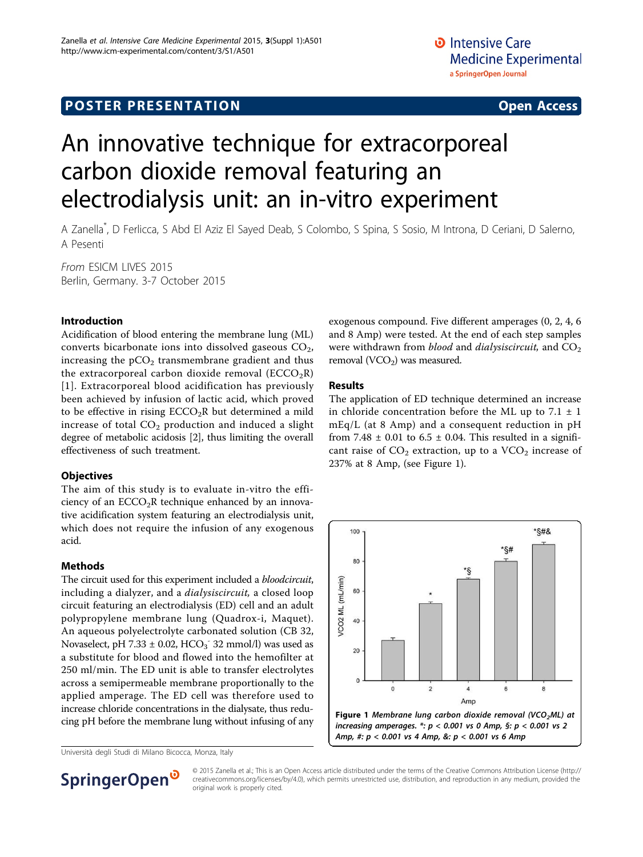# **POSTER PRESENTATION CONSUMING THE SERVICE SERVICE SERVICES**

# An innovative technique for extracorporeal carbon dioxide removal featuring an electrodialysis unit: an in-vitro experiment

A Zanella\* , D Ferlicca, S Abd El Aziz El Sayed Deab, S Colombo, S Spina, S Sosio, M Introna, D Ceriani, D Salerno, A Pesenti

From ESICM LIVES 2015 Berlin, Germany. 3-7 October 2015

## Introduction

Acidification of blood entering the membrane lung (ML) converts bicarbonate ions into dissolved gaseous  $CO<sub>2</sub>$ , increasing the  $pCO<sub>2</sub>$  transmembrane gradient and thus the extracorporeal carbon dioxide removal  $(ECCO<sub>2</sub>R)$ [[1](#page-1-0)]. Extracorporeal blood acidification has previously been achieved by infusion of lactic acid, which proved to be effective in rising  $ECCO<sub>2</sub>R$  but determined a mild increase of total  $CO<sub>2</sub>$  production and induced a slight degree of metabolic acidosis [[2](#page-1-0)], thus limiting the overall effectiveness of such treatment.

#### **Objectives**

The aim of this study is to evaluate in-vitro the efficiency of an  $ECCO<sub>2</sub>R$  technique enhanced by an innovative acidification system featuring an electrodialysis unit, which does not require the infusion of any exogenous acid.

#### Methods

The circuit used for this experiment included a *bloodcircuit*, including a dialyzer, and a *dialysiscircuit*, a closed loop circuit featuring an electrodialysis (ED) cell and an adult polypropylene membrane lung (Quadrox-i, Maquet). An aqueous polyelectrolyte carbonated solution (CB 32, Novaselect, pH 7.33  $\pm$  0.02, HCO<sub>3</sub><sup>-</sup> 32 mmol/l) was used as a substitute for blood and flowed into the hemofilter at 250 ml/min. The ED unit is able to transfer electrolytes across a semipermeable membrane proportionally to the applied amperage. The ED cell was therefore used to increase chloride concentrations in the dialysate, thus reducing pH before the membrane lung without infusing of any

Università degli Studi di Milano Bicocca, Monza, Italy

exogenous compound. Five different amperages (0, 2, 4, 6 and 8 Amp) were tested. At the end of each step samples were withdrawn from *blood* and *dialysiscircuit*, and  $CO<sub>2</sub>$ removal (VCO<sub>2</sub>) was measured.

#### Results

The application of ED technique determined an increase in chloride concentration before the ML up to  $7.1 \pm 1$ mEq/L (at 8 Amp) and a consequent reduction in pH from 7.48  $\pm$  0.01 to 6.5  $\pm$  0.04. This resulted in a significant raise of  $CO<sub>2</sub>$  extraction, up to a  $VCO<sub>2</sub>$  increase of 237% at 8 Amp, (see Figure 1).





© 2015 Zanella et al.; This is an Open Access article distributed under the terms of the Creative Commons Attribution License [\(http://](http://creativecommons.org/licenses/by/4.0) [creativecommons.org/licenses/by/4.0](http://creativecommons.org/licenses/by/4.0)), which permits unrestricted use, distribution, and reproduction in any medium, provided the original work is properly cited.